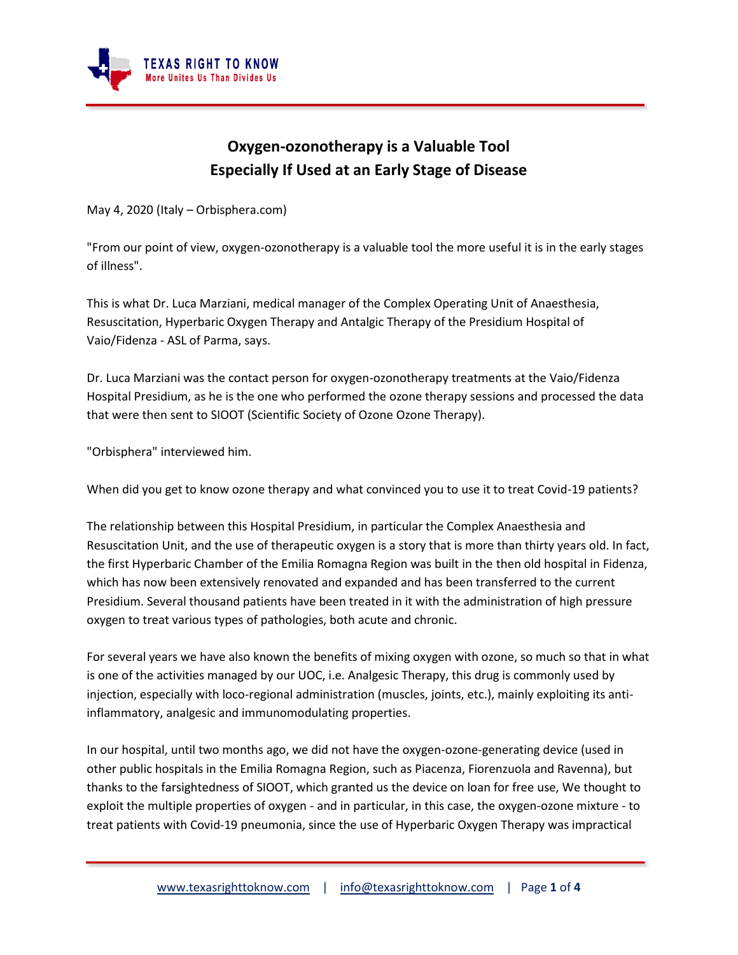

## **Oxygen-ozonotherapy is a Valuable Tool Especially If Used at an Early Stage of Disease**

May 4, 2020 (Italy – Orbisphera.com)

"From our point of view, oxygen-ozonotherapy is a valuable tool the more useful it is in the early stages of illness".

This is what Dr. Luca Marziani, medical manager of the Complex Operating Unit of Anaesthesia, Resuscitation, Hyperbaric Oxygen Therapy and Antalgic Therapy of the Presidium Hospital of Vaio/Fidenza - ASL of Parma, says.

Dr. Luca Marziani was the contact person for oxygen-ozonotherapy treatments at the Vaio/Fidenza Hospital Presidium, as he is the one who performed the ozone therapy sessions and processed the data that were then sent to SIOOT (Scientific Society of Ozone Ozone Therapy).

"Orbisphera" interviewed him.

When did you get to know ozone therapy and what convinced you to use it to treat Covid-19 patients?

The relationship between this Hospital Presidium, in particular the Complex Anaesthesia and Resuscitation Unit, and the use of therapeutic oxygen is a story that is more than thirty years old. In fact, the first Hyperbaric Chamber of the Emilia Romagna Region was built in the then old hospital in Fidenza, which has now been extensively renovated and expanded and has been transferred to the current Presidium. Several thousand patients have been treated in it with the administration of high pressure oxygen to treat various types of pathologies, both acute and chronic.

For several years we have also known the benefits of mixing oxygen with ozone, so much so that in what is one of the activities managed by our UOC, i.e. Analgesic Therapy, this drug is commonly used by injection, especially with loco-regional administration (muscles, joints, etc.), mainly exploiting its antiinflammatory, analgesic and immunomodulating properties.

In our hospital, until two months ago, we did not have the oxygen-ozone-generating device (used in other public hospitals in the Emilia Romagna Region, such as Piacenza, Fiorenzuola and Ravenna), but thanks to the farsightedness of SIOOT, which granted us the device on loan for free use, We thought to exploit the multiple properties of oxygen - and in particular, in this case, the oxygen-ozone mixture - to treat patients with Covid-19 pneumonia, since the use of Hyperbaric Oxygen Therapy was impractical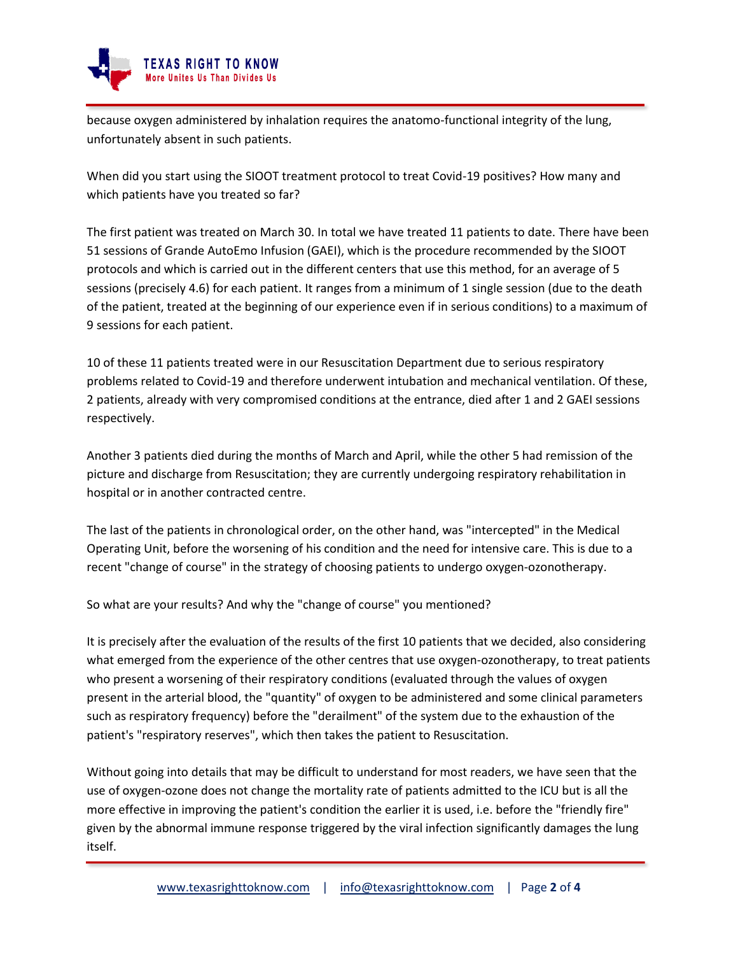

because oxygen administered by inhalation requires the anatomo-functional integrity of the lung, unfortunately absent in such patients.

When did you start using the SIOOT treatment protocol to treat Covid-19 positives? How many and which patients have you treated so far?

The first patient was treated on March 30. In total we have treated 11 patients to date. There have been 51 sessions of Grande AutoEmo Infusion (GAEI), which is the procedure recommended by the SIOOT protocols and which is carried out in the different centers that use this method, for an average of 5 sessions (precisely 4.6) for each patient. It ranges from a minimum of 1 single session (due to the death of the patient, treated at the beginning of our experience even if in serious conditions) to a maximum of 9 sessions for each patient.

10 of these 11 patients treated were in our Resuscitation Department due to serious respiratory problems related to Covid-19 and therefore underwent intubation and mechanical ventilation. Of these, 2 patients, already with very compromised conditions at the entrance, died after 1 and 2 GAEI sessions respectively.

Another 3 patients died during the months of March and April, while the other 5 had remission of the picture and discharge from Resuscitation; they are currently undergoing respiratory rehabilitation in hospital or in another contracted centre.

The last of the patients in chronological order, on the other hand, was "intercepted" in the Medical Operating Unit, before the worsening of his condition and the need for intensive care. This is due to a recent "change of course" in the strategy of choosing patients to undergo oxygen-ozonotherapy.

So what are your results? And why the "change of course" you mentioned?

It is precisely after the evaluation of the results of the first 10 patients that we decided, also considering what emerged from the experience of the other centres that use oxygen-ozonotherapy, to treat patients who present a worsening of their respiratory conditions (evaluated through the values of oxygen present in the arterial blood, the "quantity" of oxygen to be administered and some clinical parameters such as respiratory frequency) before the "derailment" of the system due to the exhaustion of the patient's "respiratory reserves", which then takes the patient to Resuscitation.

Without going into details that may be difficult to understand for most readers, we have seen that the use of oxygen-ozone does not change the mortality rate of patients admitted to the ICU but is all the more effective in improving the patient's condition the earlier it is used, i.e. before the "friendly fire" given by the abnormal immune response triggered by the viral infection significantly damages the lung itself.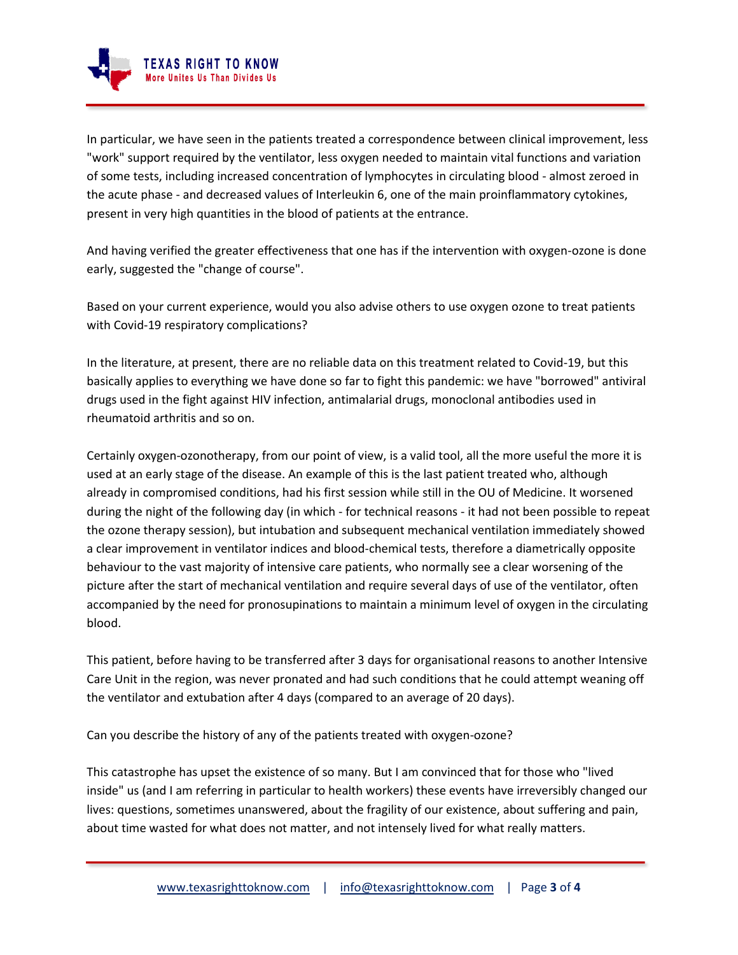

In particular, we have seen in the patients treated a correspondence between clinical improvement, less "work" support required by the ventilator, less oxygen needed to maintain vital functions and variation of some tests, including increased concentration of lymphocytes in circulating blood - almost zeroed in the acute phase - and decreased values of Interleukin 6, one of the main proinflammatory cytokines, present in very high quantities in the blood of patients at the entrance.

And having verified the greater effectiveness that one has if the intervention with oxygen-ozone is done early, suggested the "change of course".

Based on your current experience, would you also advise others to use oxygen ozone to treat patients with Covid-19 respiratory complications?

In the literature, at present, there are no reliable data on this treatment related to Covid-19, but this basically applies to everything we have done so far to fight this pandemic: we have "borrowed" antiviral drugs used in the fight against HIV infection, antimalarial drugs, monoclonal antibodies used in rheumatoid arthritis and so on.

Certainly oxygen-ozonotherapy, from our point of view, is a valid tool, all the more useful the more it is used at an early stage of the disease. An example of this is the last patient treated who, although already in compromised conditions, had his first session while still in the OU of Medicine. It worsened during the night of the following day (in which - for technical reasons - it had not been possible to repeat the ozone therapy session), but intubation and subsequent mechanical ventilation immediately showed a clear improvement in ventilator indices and blood-chemical tests, therefore a diametrically opposite behaviour to the vast majority of intensive care patients, who normally see a clear worsening of the picture after the start of mechanical ventilation and require several days of use of the ventilator, often accompanied by the need for pronosupinations to maintain a minimum level of oxygen in the circulating blood.

This patient, before having to be transferred after 3 days for organisational reasons to another Intensive Care Unit in the region, was never pronated and had such conditions that he could attempt weaning off the ventilator and extubation after 4 days (compared to an average of 20 days).

Can you describe the history of any of the patients treated with oxygen-ozone?

This catastrophe has upset the existence of so many. But I am convinced that for those who "lived inside" us (and I am referring in particular to health workers) these events have irreversibly changed our lives: questions, sometimes unanswered, about the fragility of our existence, about suffering and pain, about time wasted for what does not matter, and not intensely lived for what really matters.